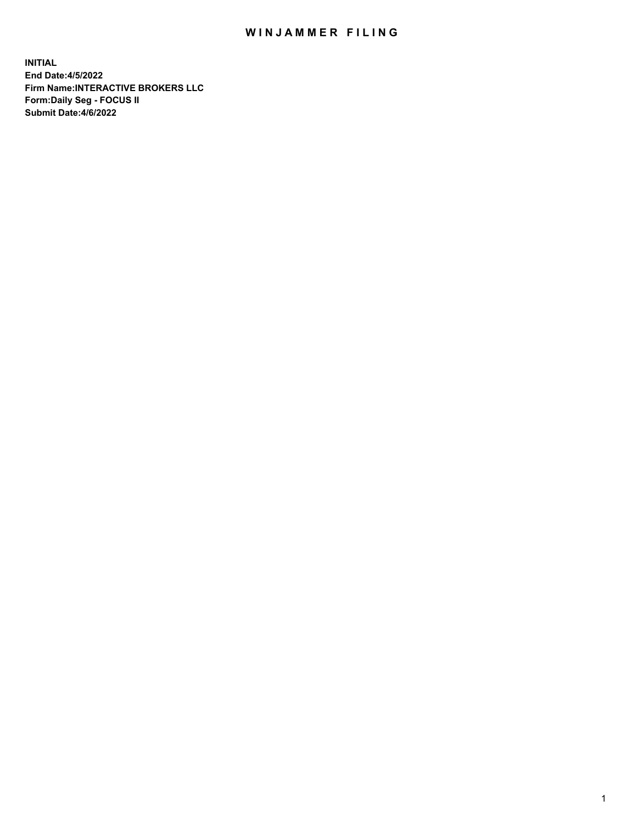## WIN JAMMER FILING

**INITIAL End Date:4/5/2022 Firm Name:INTERACTIVE BROKERS LLC Form:Daily Seg - FOCUS II Submit Date:4/6/2022**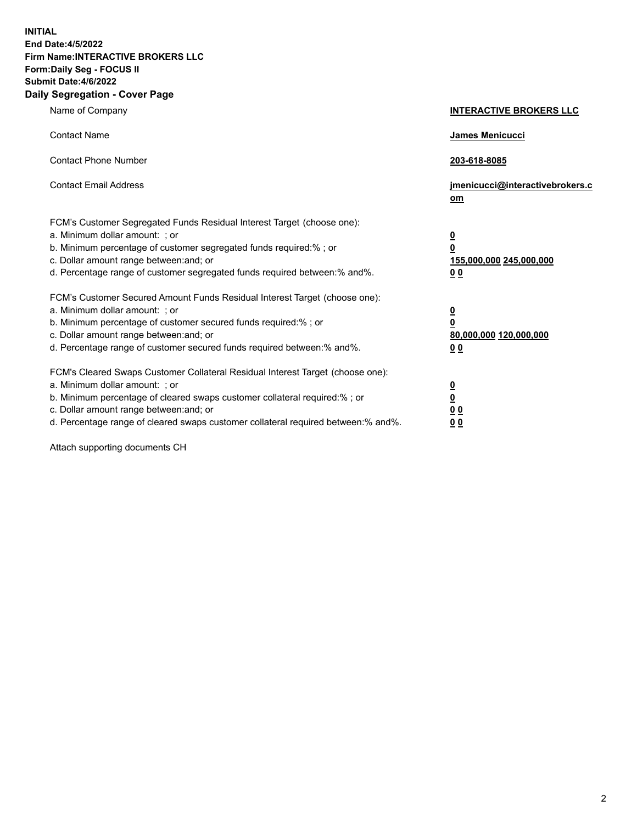**INITIAL End Date:4/5/2022 Firm Name:INTERACTIVE BROKERS LLC Form:Daily Seg - FOCUS II Submit Date:4/6/2022 Daily Segregation - Cover Page**

| Name of Company                                                                                                                                                                                                                                                                                                                | <b>INTERACTIVE BROKERS LLC</b>                                                      |
|--------------------------------------------------------------------------------------------------------------------------------------------------------------------------------------------------------------------------------------------------------------------------------------------------------------------------------|-------------------------------------------------------------------------------------|
| <b>Contact Name</b>                                                                                                                                                                                                                                                                                                            | James Menicucci                                                                     |
| <b>Contact Phone Number</b>                                                                                                                                                                                                                                                                                                    | 203-618-8085                                                                        |
| <b>Contact Email Address</b>                                                                                                                                                                                                                                                                                                   | jmenicucci@interactivebrokers.c<br>om                                               |
| FCM's Customer Segregated Funds Residual Interest Target (choose one):<br>a. Minimum dollar amount: ; or<br>b. Minimum percentage of customer segregated funds required:% ; or<br>c. Dollar amount range between: and; or<br>d. Percentage range of customer segregated funds required between:% and%.                         | $\overline{\mathbf{0}}$<br>$\overline{\mathbf{0}}$<br>155,000,000 245,000,000<br>00 |
| FCM's Customer Secured Amount Funds Residual Interest Target (choose one):<br>a. Minimum dollar amount: ; or<br>b. Minimum percentage of customer secured funds required:%; or<br>c. Dollar amount range between: and; or<br>d. Percentage range of customer secured funds required between:% and%.                            | $\overline{\mathbf{0}}$<br>$\pmb{0}$<br>80,000,000 120,000,000<br>00                |
| FCM's Cleared Swaps Customer Collateral Residual Interest Target (choose one):<br>a. Minimum dollar amount: ; or<br>b. Minimum percentage of cleared swaps customer collateral required:% ; or<br>c. Dollar amount range between: and; or<br>d. Percentage range of cleared swaps customer collateral required between:% and%. | $\overline{\mathbf{0}}$<br>$\underline{\mathbf{0}}$<br>0 <sub>0</sub><br>00         |

Attach supporting documents CH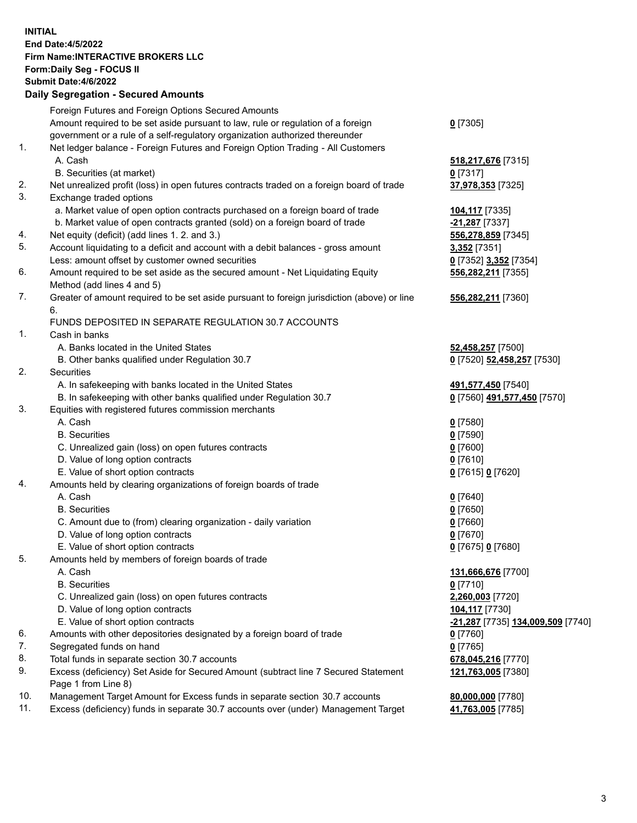## **INITIAL End Date:4/5/2022 Firm Name:INTERACTIVE BROKERS LLC Form:Daily Seg - FOCUS II Submit Date:4/6/2022 Daily Segregation - Secured Amounts**

|     | Daily Jegiegation - Jeculed Aniounts                                                        |                                   |
|-----|---------------------------------------------------------------------------------------------|-----------------------------------|
|     | Foreign Futures and Foreign Options Secured Amounts                                         |                                   |
|     | Amount required to be set aside pursuant to law, rule or regulation of a foreign            | $0$ [7305]                        |
|     | government or a rule of a self-regulatory organization authorized thereunder                |                                   |
| 1.  | Net ledger balance - Foreign Futures and Foreign Option Trading - All Customers             |                                   |
|     | A. Cash                                                                                     | 518, 217, 676 [7315]              |
|     | B. Securities (at market)                                                                   | $0$ [7317]                        |
| 2.  | Net unrealized profit (loss) in open futures contracts traded on a foreign board of trade   | 37,978,353 [7325]                 |
| 3.  | Exchange traded options                                                                     |                                   |
|     | a. Market value of open option contracts purchased on a foreign board of trade              | <b>104,117</b> [7335]             |
|     | b. Market value of open contracts granted (sold) on a foreign board of trade                | -21,287 [7337]                    |
| 4.  | Net equity (deficit) (add lines 1. 2. and 3.)                                               | 556,278,859 [7345]                |
| 5.  | Account liquidating to a deficit and account with a debit balances - gross amount           | 3,352 [7351]                      |
|     | Less: amount offset by customer owned securities                                            | 0 [7352] 3,352 [7354]             |
| 6.  | Amount required to be set aside as the secured amount - Net Liquidating Equity              | 556,282,211 [7355]                |
|     | Method (add lines 4 and 5)                                                                  |                                   |
| 7.  | Greater of amount required to be set aside pursuant to foreign jurisdiction (above) or line | 556,282,211 [7360]                |
|     | 6.                                                                                          |                                   |
|     | FUNDS DEPOSITED IN SEPARATE REGULATION 30.7 ACCOUNTS                                        |                                   |
| 1.  | Cash in banks                                                                               |                                   |
|     | A. Banks located in the United States                                                       | 52,458,257 [7500]                 |
|     | B. Other banks qualified under Regulation 30.7                                              | 0 [7520] 52,458,257 [7530]        |
| 2.  | Securities                                                                                  |                                   |
|     | A. In safekeeping with banks located in the United States                                   | 491,577,450 [7540]                |
|     | B. In safekeeping with other banks qualified under Regulation 30.7                          | 0 [7560] 491,577,450 [7570]       |
| 3.  | Equities with registered futures commission merchants                                       |                                   |
|     | A. Cash                                                                                     | $0$ [7580]                        |
|     | <b>B.</b> Securities                                                                        | $0$ [7590]                        |
|     | C. Unrealized gain (loss) on open futures contracts                                         | $0$ [7600]                        |
|     | D. Value of long option contracts                                                           | $0$ [7610]                        |
|     | E. Value of short option contracts                                                          | 0 [7615] 0 [7620]                 |
| 4.  | Amounts held by clearing organizations of foreign boards of trade                           |                                   |
|     | A. Cash                                                                                     | $0$ [7640]                        |
|     | <b>B.</b> Securities                                                                        | $0$ [7650]                        |
|     | C. Amount due to (from) clearing organization - daily variation                             | $0$ [7660]                        |
|     | D. Value of long option contracts<br>E. Value of short option contracts                     | $0$ [7670]                        |
| 5.  |                                                                                             | 0 [7675] 0 [7680]                 |
|     | Amounts held by members of foreign boards of trade<br>A. Cash                               | 131,666,676 [7700]                |
|     | <b>B.</b> Securities                                                                        | $0$ [7710]                        |
|     | C. Unrealized gain (loss) on open futures contracts                                         | 2,260,003 [7720]                  |
|     | D. Value of long option contracts                                                           | 104,117 [7730]                    |
|     | E. Value of short option contracts                                                          | -21,287 [7735] 134,009,509 [7740] |
| 6.  | Amounts with other depositories designated by a foreign board of trade                      | 0 [7760]                          |
| 7.  | Segregated funds on hand                                                                    | $0$ [7765]                        |
| 8.  | Total funds in separate section 30.7 accounts                                               | 678,045,216 [7770]                |
| 9.  | Excess (deficiency) Set Aside for Secured Amount (subtract line 7 Secured Statement         | 121,763,005 [7380]                |
|     | Page 1 from Line 8)                                                                         |                                   |
| 10. | Management Target Amount for Excess funds in separate section 30.7 accounts                 | 80,000,000 [7780]                 |
| 11. | Excess (deficiency) funds in separate 30.7 accounts over (under) Management Target          | 41,763,005 [7785]                 |
|     |                                                                                             |                                   |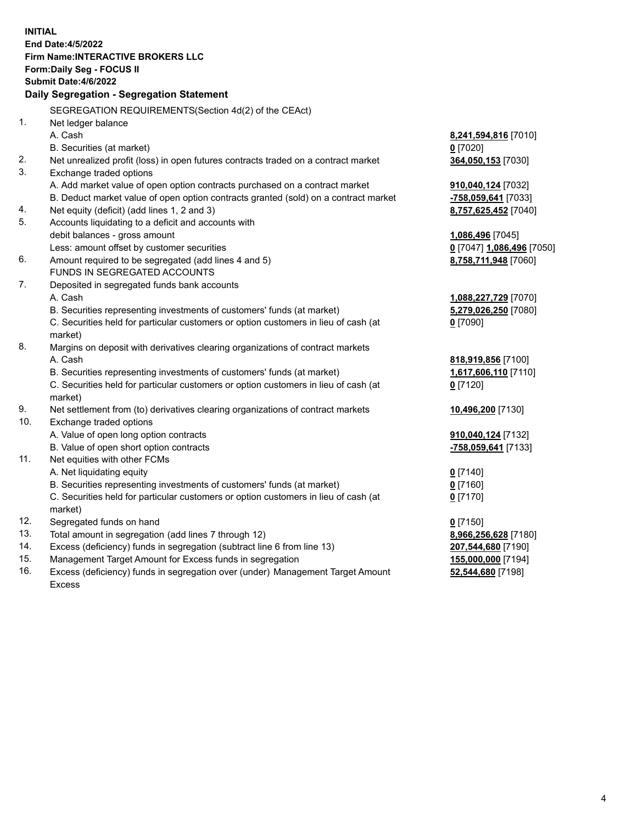**INITIAL End Date:4/5/2022 Firm Name:INTERACTIVE BROKERS LLC Form:Daily Seg - FOCUS II Submit Date:4/6/2022 Daily Segregation - Segregation Statement** SEGREGATION REQUIREMENTS(Section 4d(2) of the CEAct) 1. Net ledger balance A. Cash **8,241,594,816** [7010] B. Securities (at market) **0** [7020] 2. Net unrealized profit (loss) in open futures contracts traded on a contract market **364,050,153** [7030] 3. Exchange traded options A. Add market value of open option contracts purchased on a contract market **910,040,124** [7032] B. Deduct market value of open option contracts granted (sold) on a contract market **-758,059,641** [7033] 4. Net equity (deficit) (add lines 1, 2 and 3) **8,757,625,452** [7040] 5. Accounts liquidating to a deficit and accounts with debit balances - gross amount **1,086,496** [7045] Less: amount offset by customer securities **0** [7047] **1,086,496** [7050] 6. Amount required to be segregated (add lines 4 and 5) **8,758,711,948** [7060] FUNDS IN SEGREGATED ACCOUNTS 7. Deposited in segregated funds bank accounts A. Cash **1,088,227,729** [7070] B. Securities representing investments of customers' funds (at market) **5,279,026,250** [7080] C. Securities held for particular customers or option customers in lieu of cash (at market) **0** [7090] 8. Margins on deposit with derivatives clearing organizations of contract markets A. Cash **818,919,856** [7100] B. Securities representing investments of customers' funds (at market) **1,617,606,110** [7110] C. Securities held for particular customers or option customers in lieu of cash (at market) **0** [7120] 9. Net settlement from (to) derivatives clearing organizations of contract markets **10,496,200** [7130] 10. Exchange traded options A. Value of open long option contracts **910,040,124** [7132] B. Value of open short option contracts **-758,059,641** [7133] 11. Net equities with other FCMs A. Net liquidating equity **0** [7140] B. Securities representing investments of customers' funds (at market) **0** [7160] C. Securities held for particular customers or option customers in lieu of cash (at market) **0** [7170] 12. Segregated funds on hand **0** [7150] 13. Total amount in segregation (add lines 7 through 12) **8,966,256,628** [7180] 14. Excess (deficiency) funds in segregation (subtract line 6 from line 13) **207,544,680** [7190] 15. Management Target Amount for Excess funds in segregation **155,000,000** [7194] 16. Excess (deficiency) funds in segregation over (under) Management Target Amount **52,544,680** [7198]

Excess